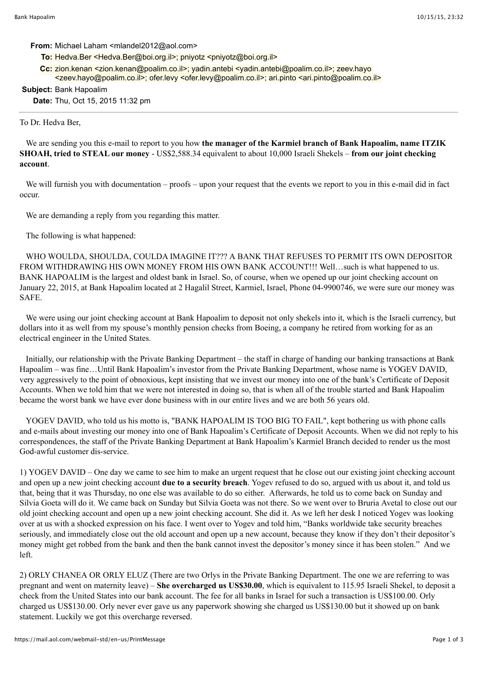### **From:** Michael Laham <mlandel2012@aol.com>

- To: Hedva.Ber <Hedva.Ber@boi.org.il>; pniyotz <pniyotz@boi.org.il>
- **Cc:** zion.kenan <zion.kenan@poalim.co.il>; yadin.antebi <yadin.antebi@poalim.co.il>; zeev.hayo <zeev.hayo@poalim.co.il>; ofer.levy <ofer.levy@poalim.co.il>; ari.pinto <ari.pinto@poalim.co.il>

## **Subject:** Bank Hapoalim

**Date:** Thu, Oct 15, 2015 11:32 pm

### To Dr. Hedva Ber,

 We are sending you this e-mail to report to you how **the manager of the Karmiel branch of Bank Hapoalim, name ITZIK SHOAH, tried to STEAL our money** - US\$2,588.34 equivalent to about 10,000 Israeli Shekels – **from our joint checking account**.

We will furnish you with documentation – proofs – upon your request that the events we report to you in this e-mail did in fact occur.

We are demanding a reply from you regarding this matter.

The following is what happened:

WHO WOULDA, SHOULDA, COULDA IMAGINE IT??? A BANK THAT REFUSES TO PERMIT ITS OWN DEPOSITOR FROM WITHDRAWING HIS OWN MONEY FROM HIS OWN BANK ACCOUNT!!! Well...such is what happened to us. BANK HAPOALIM is the largest and oldest bank in Israel. So, of course, when we opened up our joint checking account on January 22, 2015, at Bank Hapoalim located at 2 Hagalil Street, Karmiel, Israel, Phone 04-9900746, we were sure our money was SAFE.

We were using our joint checking account at Bank Hapoalim to deposit not only shekels into it, which is the Israeli currency, but dollars into it as well from my spouse's monthly pension checks from Boeing, a company he retired from working for as an electrical engineer in the United States.

 Initially, our relationship with the Private Banking Department – the staff in charge of handing our banking transactions at Bank Hapoalim – was fine…Until Bank Hapoalim's investor from the Private Banking Department, whose name is YOGEV DAVID, very aggressively to the point of obnoxious, kept insisting that we invest our money into one of the bank's Certificate of Deposit Accounts. When we told him that we were not interested in doing so, that is when all of the trouble started and Bank Hapoalim became the worst bank we have ever done business with in our entire lives and we are both 56 years old.

 YOGEV DAVID, who told us his motto is, "BANK HAPOALIM IS TOO BIG TO FAIL", kept bothering us with phone calls and e-mails about investing our money into one of Bank Hapoalim's Certificate of Deposit Accounts. When we did not reply to his correspondences, the staff of the Private Banking Department at Bank Hapoalim's Karmiel Branch decided to render us the most God-awful customer dis-service.

1) YOGEV DAVID – One day we came to see him to make an urgent request that he close out our existing joint checking account and open up a new joint checking account **due to a security breach**. Yogev refused to do so, argued with us about it, and told us that, being that it was Thursday, no one else was available to do so either. Afterwards, he told us to come back on Sunday and Silvia Goeta will do it. We came back on Sunday but Silvia Goeta was not there. So we went over to Bruria Avetal to close out our old joint checking account and open up a new joint checking account. She did it. As we left her desk I noticed Yogev was looking over at us with a shocked expression on his face. I went over to Yogev and told him, "Banks worldwide take security breaches seriously, and immediately close out the old account and open up a new account, because they know if they don't their depositor's money might get robbed from the bank and then the bank cannot invest the depositor's money since it has been stolen." And we left.

2) ORLY CHANEA OR ORLY ELUZ (There are two Orlys in the Private Banking Department. The one we are referring to was pregnant and went on maternity leave) – **She overcharged us US\$30.00**, which is equivalent to 115.95 Israeli Shekel, to deposit a check from the United States into our bank account. The fee for all banks in Israel for such a transaction is US\$100.00. Orly charged us US\$130.00. Orly never ever gave us any paperwork showing she charged us US\$130.00 but it showed up on bank statement. Luckily we got this overcharge reversed.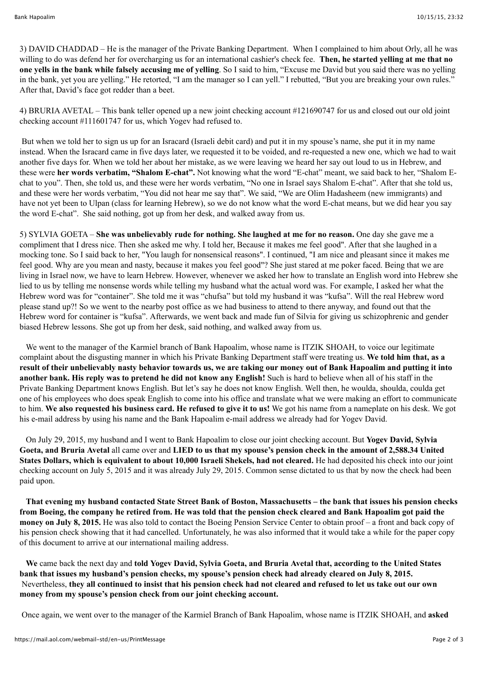3) DAVID CHADDAD – He is the manager of the Private Banking Department. When I complained to him about Orly, all he was willing to do was defend her for overcharging us for an international cashier's check fee. **Then, he started yelling at me that no one yells in the bank while falsely accusing me of yelling**. So I said to him, "Excuse me David but you said there was no yelling in the bank, yet you are yelling." He retorted, "I am the manager so I can yell." I rebutted, "But you are breaking your own rules." After that, David's face got redder than a beet.

4) BRURIA AVETAL – This bank teller opened up a new joint checking account #121690747 for us and closed out our old joint checking account #111601747 for us, which Yogev had refused to.

 But when we told her to sign us up for an Isracard (Israeli debit card) and put it in my spouse's name, she put it in my name instead. When the Isracard came in five days later, we requested it to be voided, and re-requested a new one, which we had to wait another five days for. When we told her about her mistake, as we were leaving we heard her say out loud to us in Hebrew, and these were **her words verbatim, "Shalom E-chat".** Not knowing what the word "E-chat" meant, we said back to her, "Shalom Echat to you". Then, she told us, and these were her words verbatim, "No one in Israel says Shalom E-chat". After that she told us, and these were her words verbatim, "You did not hear me say that". We said, "We are Olim Hadasheem (new immigrants) and have not yet been to Ulpan (class for learning Hebrew), so we do not know what the word E-chat means, but we did hear you say the word E-chat". She said nothing, got up from her desk, and walked away from us.

5) SYLVIA GOETA – **She was unbelievably rude for nothing. She laughed at me for no reason.** One day she gave me a compliment that I dress nice. Then she asked me why. I told her, Because it makes me feel good". After that she laughed in a mocking tone. So I said back to her, "You laugh for nonsensical reasons". I continued, "I am nice and pleasant since it makes me feel good. Why are you mean and nasty, because it makes you feel good"? She just stared at me poker faced. Being that we are living in Israel now, we have to learn Hebrew. However, whenever we asked her how to translate an English word into Hebrew she lied to us by telling me nonsense words while telling my husband what the actual word was. For example, I asked her what the Hebrew word was for "container". She told me it was "chufsa" but told my husband it was "kufsa". Will the real Hebrew word please stand up?! So we went to the nearby post office as we had business to attend to there anyway, and found out that the Hebrew word for container is "kufsa". Afterwards, we went back and made fun of Silvia for giving us schizophrenic and gender biased Hebrew lessons. She got up from her desk, said nothing, and walked away from us.

We went to the manager of the Karmiel branch of Bank Hapoalim, whose name is ITZIK SHOAH, to voice our legitimate complaint about the disgusting manner in which his Private Banking Department staff were treating us. **We told him that, as a result of their unbelievably nasty behavior towards us, we are taking our money out of Bank Hapoalim and putting it into another bank. His reply was to pretend he did not know any English!** Such is hard to believe when all of his staff in the Private Banking Department knows English. But let's say he does not know English. Well then, he woulda, shoulda, coulda get one of his employees who does speak English to come into his office and translate what we were making an effort to communicate to him. **We also requested his business card. He refused to give it to us!** We got his name from a nameplate on his desk. We got his e-mail address by using his name and the Bank Hapoalim e-mail address we already had for Yogev David.

 On July 29, 2015, my husband and I went to Bank Hapoalim to close our joint checking account. But **Yogev David, Sylvia Goeta, and Bruria Avetal** all came over and **LIED to us that my spouse's pension check in the amount of 2,588.34 United States Dollars, which is equivalent to about 10,000 Israeli Shekels, had not cleared.** He had deposited his check into our joint checking account on July 5, 2015 and it was already July 29, 2015. Common sense dictated to us that by now the check had been paid upon.

 **That evening my husband contacted State Street Bank of Boston, Massachusetts – the bank that issues his pension checks from Boeing, the company he retired from. He was told that the pension check cleared and Bank Hapoalim got paid the money on July 8, 2015.** He was also told to contact the Boeing Pension Service Center to obtain proof – a front and back copy of his pension check showing that it had cancelled. Unfortunately, he was also informed that it would take a while for the paper copy of this document to arrive at our international mailing address.

 **We** came back the next day and **told Yogev David, Sylvia Goeta, and Bruria Avetal that, according to the United States bank that issues my husband's pension checks, my spouse's pension check had already cleared on July 8, 2015.** Nevertheless, **they all continued to insist that his pension check had not cleared and refused to let us take out our own money from my spouse's pension check from our joint checking account.**

Once again, we went over to the manager of the Karmiel Branch of Bank Hapoalim, whose name is ITZIK SHOAH, and **asked**